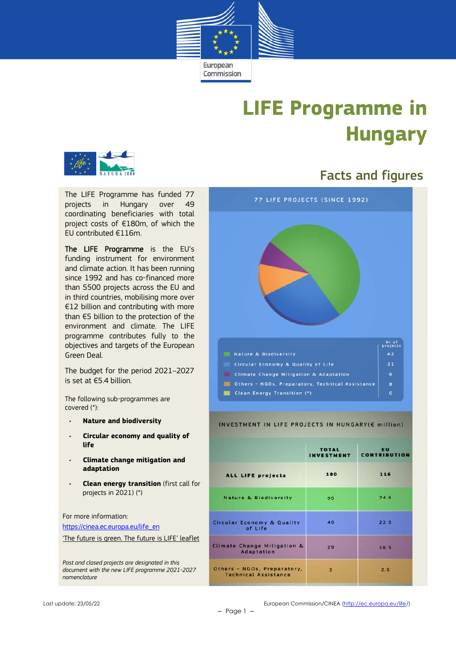

# **LIFE Programme in Hungary**



The LIFE Programme has funded 77 projects in Hungary over 49 coordinating beneficiaries with total project costs of €180m, of which the EU contributed €116m.

The LIFE Programme is the EU's funding instrument for environment and climate action. It has been running since 1992 and has co-financed more than 5500 projects across the EU and in third countries, mobilising more over €12 billion and contributing with more than €5 billion to the protection of the environment and climate. The LIFE programme contributes fully to the objectives and targets of the European Green Deal.

The budget for the period 2021–2027 is set at €5.4 billion.

The following sub-programmes are covered (\*):

- **Nature and biodiversity**
- **Circular economy and quality of life**
- **Climate change mitigation and adaptation**
- **Clean energy transition** (first call for projects in 2021) (\*)

For more information: https://cinea.ec.europa.eu/life\_en 'The future is green. The future is LIFE' leaflet

*Past and closed projects are designated in this document with the new LIFE programme 2021-2027 nomenclature*

# Facts and figures



#### INVESTMENT IN LIFE PROJECTS IN HUNGARY(E million)

|                                                            | <b>TOTAL</b><br>INVESTMENT | EU<br><b>CONTRIBUTION</b> |  |
|------------------------------------------------------------|----------------------------|---------------------------|--|
| <b>ALL LIFE projects</b>                                   | 180                        | 116                       |  |
| Nature & Biodiversity                                      | 99                         | 74.5                      |  |
| Circular Economy & Quality<br>of Life                      | 49                         | 22.5                      |  |
| Climate Change Mitigation &<br><b>Adaptation</b>           | 29                         | 16.5                      |  |
| Others - NGOs, Preparatory,<br><b>Technical Assistance</b> | 3                          | 2.5                       |  |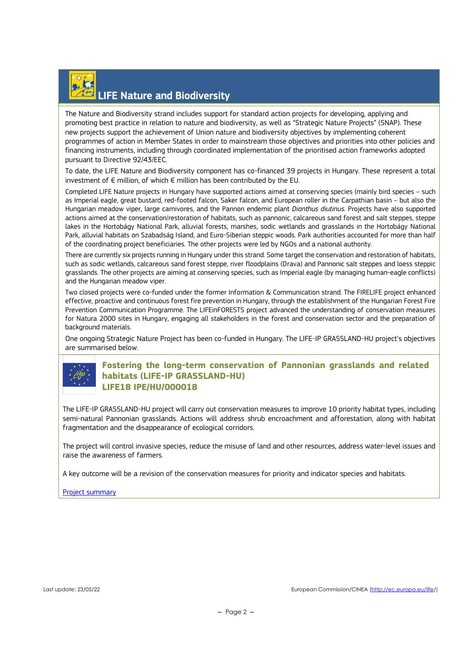

## LIFE Nature and Biodiversity

The Nature and Biodiversity strand includes support for standard action projects for developing, applying and promoting best practice in relation to nature and biodiversity, as well as "Strategic Nature Projects" (SNAP). These new projects support the achievement of Union nature and biodiversity objectives by implementing coherent programmes of action in Member States in order to mainstream those objectives and priorities into other policies and financing instruments, including through coordinated implementation of the prioritised action frameworks adopted pursuant to Directive 92/43/EEC.

To date, the LIFE Nature and Biodiversity component has co-financed 39 projects in Hungary. These represent a total investment of € million, of which € million has been contributed by the EU.

Completed LIFE Nature projects in Hungary have supported actions aimed at conserving species (mainly bird species – such as Imperial eagle, great bustard, red-footed falcon, Saker falcon, and European roller in the Carpathian basin – but also the Hungarian meadow viper, large carnivores, and the Pannon endemic plant *Dianthus diutinus*. Projects have also supported actions aimed at the conservation/restoration of habitats, such as pannonic, calcareous sand forest and salt steppes, steppe lakes in the Hortobágy National Park, alluvial forests, marshes, sodic wetlands and grasslands in the Hortobágy National Park, alluvial habitats on Szabadság Island, and Euro-Siberian steppic woods. Park authorities accounted for more than half of the coordinating project beneficiaries. The other projects were led by NGOs and a national authority.

There are currently six projects running in Hungary under this strand. Some target the conservation and restoration of habitats, such as sodic wetlands, calcareous sand forest steppe, river floodplains (Drava) and Pannonic salt steppes and loess steppic grasslands. The other projects are aiming at conserving species, such as Imperial eagle (by managing human-eagle conflicts) and the Hungarian meadow viper.

Two closed projects were co-funded under the former Information & Communication strand. The FIRELIFE project enhanced effective, proactive and continuous forest fire prevention in Hungary, through the establishment of the Hungarian Forest Fire Prevention Communication Programme. The LIFEinFORESTS project advanced the understanding of conservation measures for Natura 2000 sites in Hungary, engaging all stakeholders in the forest and conservation sector and the preparation of background materials.

One ongoing Strategic Nature Project has been co-funded in Hungary. The LIFE-IP GRASSLAND-HU project's objectives are summarised below.



### **Fostering the long-term conservation of Pannonian grasslands and related habitats (LIFE-IP GRASSLAND-HU) LIFE18 IPE/HU/000018**

The LIFE-IP GRASSLAND-HU project will carry out conservation measures to improve 10 priority habitat types, including semi-natural Pannonian grasslands. Actions will address shrub encroachment and afforestation, along with habitat fragmentation and the disappearance of ecological corridors.

The project will control invasive species, reduce the misuse of land and other resources, address water-level issues and raise the awareness of farmers.

A key outcome will be a revision of the conservation measures for priority and indicator species and habitats.

### Project summary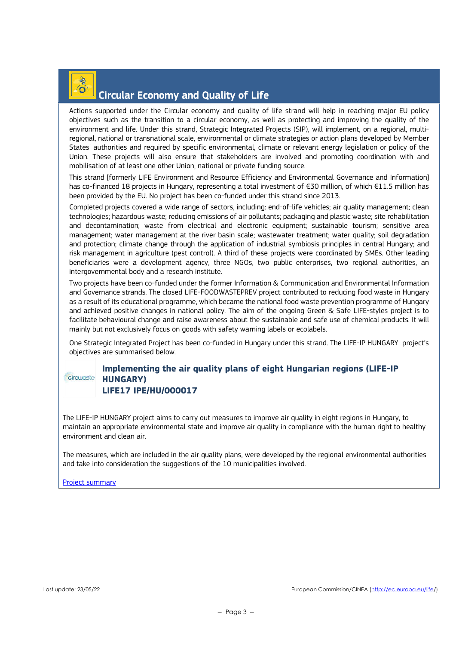## Circular Economy and Quality of Life

Actions supported under the Circular economy and quality of life strand will help in reaching major EU policy objectives such as the transition to a circular economy, as well as protecting and improving the quality of the environment and life. Under this strand, Strategic Integrated Projects (SIP), will implement, on a regional, multiregional, national or transnational scale, environmental or climate strategies or action plans developed by Member States' authorities and required by specific environmental, climate or relevant energy legislation or policy of the Union. These projects will also ensure that stakeholders are involved and promoting coordination with and mobilisation of at least one other Union, national or private funding source.

This strand [formerly LIFE Environment and Resource Efficiency and Environmental Governance and Information] has co-financed 18 projects in Hungary, representing a total investment of €30 million, of which €11.5 million has been provided by the EU. No project has been co-funded under this strand since 2013.

Completed projects covered a wide range of sectors, including: end-of-life vehicles; air quality management; clean technologies; hazardous waste; reducing emissions of air pollutants; packaging and plastic waste; site rehabilitation and decontamination; waste from electrical and electronic equipment; sustainable tourism; sensitive area management; water management at the river basin scale; wastewater treatment; water quality; soil degradation and protection; climate change through the application of industrial symbiosis principles in central Hungary; and risk management in agriculture (pest control). A third of these projects were coordinated by SMEs. Other leading beneficiaries were a development agency, three NGOs, two public enterprises, two regional authorities, an intergovernmental body and a research institute.

Two projects have been co-funded under the former Information & Communication and Environmental Information and Governance strands. The closed LIFE-FOODWASTEPREV project contributed to reducing food waste in Hungary as a result of its educational programme, which became the national food waste prevention programme of Hungary and achieved positive changes in national policy. The aim of the ongoing Green & Safe LIFE-styles project is to facilitate behavioural change and raise awareness about the sustainable and safe use of chemical products. It will mainly but not exclusively focus on goods with safety warning labels or ecolabels.

One Strategic Integrated Project has been co-funded in Hungary under this strand. The LIFE-IP HUNGARY project's objectives are summarised below.

#### **Implementing the air quality plans of eight Hungarian regions (LIFE-IP**  circuraste **HUNGARY) LIFE17 IPE/HU/000017**

The LIFE-IP HUNGARY project aims to carry out measures to improve air quality in eight regions in Hungary, to maintain an appropriate environmental state and improve air quality in compliance with the human right to healthy environment and clean air.

The measures, which are included in the air quality plans, were developed by the regional environmental authorities and take into consideration the suggestions of the 10 municipalities involved.

Project summary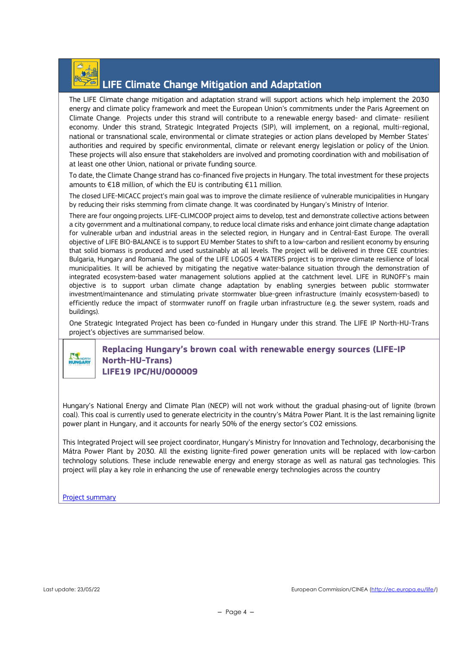

### LIFE Climate Change Mitigation and Adaptation

The LIFE Climate change mitigation and adaptation strand will support actions which help implement the 2030 energy and climate policy framework and meet the European Union's commitments under the Paris Agreement on Climate Change. Projects under this strand will contribute to a renewable energy based- and climate- resilient economy. Under this strand, Strategic Integrated Projects (SIP), will implement, on a regional, multi-regional, national or transnational scale, environmental or climate strategies or action plans developed by Member States' authorities and required by specific environmental, climate or relevant energy legislation or policy of the Union. These projects will also ensure that stakeholders are involved and promoting coordination with and mobilisation of at least one other Union, national or private funding source.

To date, the Climate Change strand has co-financed five projects in Hungary. The total investment for these projects amounts to €18 million, of which the EU is contributing €11 million.

The closed LIFE-MICACC project's main goal was to improve the climate resilience of vulnerable municipalities in Hungary by reducing their risks stemming from climate change. It was coordinated by Hungary's Ministry of Interior.

There are four ongoing projects. LIFE-CLIMCOOP project aims to develop, test and demonstrate collective actions between a city government and a multinational company, to reduce local climate risks and enhance joint climate change adaptation for vulnerable urban and industrial areas in the selected region, in Hungary and in Central-East Europe. The overall objective of LIFE BIO-BALANCE is to support EU Member States to shift to a low-carbon and resilient economy by ensuring that solid biomass is produced and used sustainably at all levels. The project will be delivered in three CEE countries: Bulgaria, Hungary and Romania. The goal of the LIFE LOGOS 4 WATERS project is to improve climate resilience of local municipalities. It will be achieved by mitigating the negative water-balance situation through the demonstration of integrated ecosystem-based water management solutions applied at the catchment level. LIFE in RUNOFF's main objective is to support urban climate change adaptation by enabling synergies between public stormwater investment/maintenance and stimulating private stormwater blue-green infrastructure (mainly ecosystem-based) to efficiently reduce the impact of stormwater runoff on fragile urban infrastructure (e.g. the sewer system, roads and buildings).

One Strategic Integrated Project has been co-funded in Hungary under this strand. The LIFE IP North-HU-Trans project's objectives are summarised below.

### **Replacing Hungary's brown coal with renewable energy sources (LIFE-IP North-HU-Trans) LIFE19 IPC/HU/000009**

Hungary's National Energy and Climate Plan (NECP) will not work without the gradual phasing-out of lignite (brown coal). This coal is currently used to generate electricity in the country's Mátra Power Plant. It is the last remaining lignite power plant in Hungary, and it accounts for nearly 50% of the energy sector's CO2 emissions.

This Integrated Project will see project coordinator, Hungary's Ministry for Innovation and Technology, decarbonising the Mátra Power Plant by 2030. All the existing lignite-fired power generation units will be replaced with low-carbon technology solutions. These include renewable energy and energy storage as well as natural gas technologies. This project will play a key role in enhancing the use of renewable energy technologies across the country

**Project summary** 

**KY**<sub>NORTH</sub>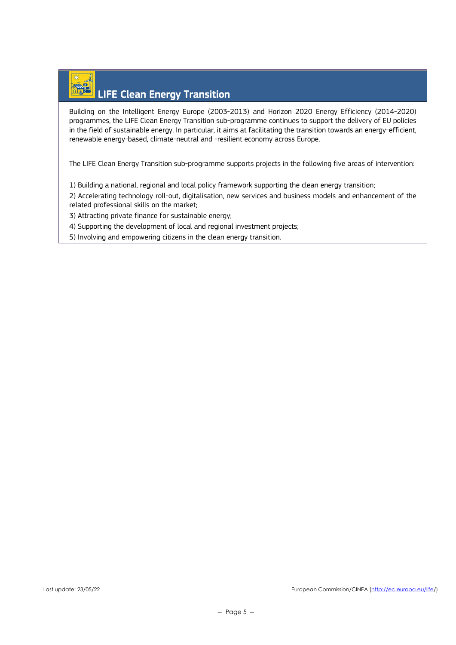# LIFE Clean Energy Transition

Building on the Intelligent Energy Europe (2003-2013) and Horizon 2020 Energy Efficiency (2014-2020) programmes, the LIFE Clean Energy Transition sub-programme continues to support the delivery of EU policies in the field of sustainable energy. In particular, it aims at facilitating the transition towards an energy-efficient, renewable energy-based, climate-neutral and -resilient economy across Europe.

The LIFE Clean Energy Transition sub-programme supports projects in the following five areas of intervention:

1) Building a national, regional and local policy framework supporting the clean energy transition;

2) Accelerating technology roll-out, digitalisation, new services and business models and enhancement of the related professional skills on the market;

3) Attracting private finance for sustainable energy;

4) Supporting the development of local and regional investment projects;

5) Involving and empowering citizens in the clean energy transition.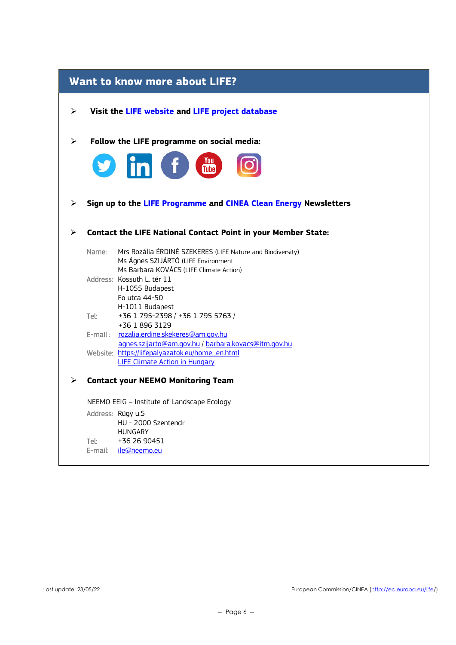| Want to know more about LIFE? |       |                                                                                                   |  |
|-------------------------------|-------|---------------------------------------------------------------------------------------------------|--|
| ➤                             |       | Visit the <b>LIFE</b> website and <b>LIFE</b> project database                                    |  |
| $\blacktriangleright$         |       | Follow the LIFE programme on social media:                                                        |  |
|                               |       | <b>Example</b><br>Tube<br>$\bullet$ in $\bullet$                                                  |  |
| ➤                             |       | Sign up to the LIFE Programme and CINEA Clean Energy Newsletters                                  |  |
| ⋗                             |       | <b>Contact the LIFE National Contact Point in your Member State:</b>                              |  |
|                               | Name: | Mrs Rozália ÉRDINÉ SZEKERES (LIFE Nature and Biodiversity)<br>Ms Ágnes SZIJÁRTÓ (LIFE Environment |  |
|                               |       | Ms Barbara KOVÁCS (LIFE Climate Action)                                                           |  |
|                               |       | Address: Kossuth L. tér 11<br>H-1055 Budapest                                                     |  |
|                               |       | Fo utca 44-50                                                                                     |  |
|                               |       | H-1011 Budapest                                                                                   |  |
|                               | Tel:  | +36 1 795-2398 / +36 1 795 5763 /<br>+36 1 896 3129                                               |  |
|                               |       | E-mail: rozalia.erdine.skekeres@am.gov.hu                                                         |  |
|                               |       | agnes.szijarto@am.gov.hu / barbara.kovacs@itm.gov.hu                                              |  |
|                               |       | Website: https://lifepalyazatok.eu/home en.html<br><b>LIFE Climate Action in Hungary</b>          |  |
| $\blacktriangleright$         |       | <b>Contact your NEEMO Monitoring Team</b>                                                         |  |
|                               |       | NEEMO EEIG - Institute of Landscape Ecology                                                       |  |
|                               |       | Address: Rügy u.5                                                                                 |  |
|                               |       | HU - 2000 Szentendr<br><b>HUNGARY</b>                                                             |  |
|                               | Tel:  | +36 26 90451                                                                                      |  |
|                               |       | E-mail: ile@neemo.eu                                                                              |  |
|                               |       |                                                                                                   |  |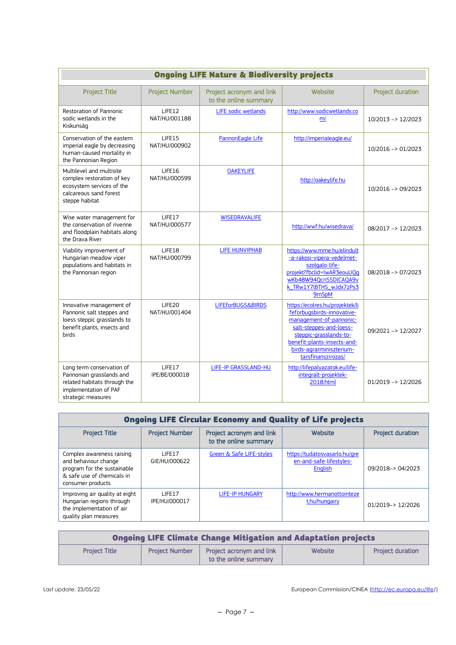| <b>Ongoing LIFE Nature &amp; Biodiversity projects</b>                                                                               |                         |                                                   |                                                                                                                                                                                                                                |                               |
|--------------------------------------------------------------------------------------------------------------------------------------|-------------------------|---------------------------------------------------|--------------------------------------------------------------------------------------------------------------------------------------------------------------------------------------------------------------------------------|-------------------------------|
| <b>Project Title</b>                                                                                                                 | <b>Project Number</b>   | Project acronym and link<br>to the online summary | <b>Website</b>                                                                                                                                                                                                                 | <b>Project duration</b>       |
| Restoration of Pannonic<br>sodic wetlands in the<br>Kiskunság                                                                        | LIFE12<br>NAT/HU/001188 | LIFE sodic wetlands                               | http://www.sodicwetlands.co<br>m/                                                                                                                                                                                              | 10/2013 -> 12/2023            |
| Conservation of the eastern<br>imperial eagle by decreasing<br>human-caused mortality in<br>the Pannonian Region                     | LIFE15<br>NAT/HU/000902 | PannonEagle Life                                  | http://imperialeagle.eu/                                                                                                                                                                                                       | 10/2016 -> 01/2023            |
| Multilevel and multisite<br>complex restoration of key<br>ecosystem services of the<br>calcareous sand forest<br>steppe habitat      | LIFE16<br>NAT/HU/000599 | <b>OAKEYLIFE</b>                                  | http://oakeylife.hu                                                                                                                                                                                                            | 10/2016 -> 09/2023            |
| Wise water management for<br>the conservation of riverine<br>and floodplain habitats along<br>the Drava River                        | LIFE17<br>NAT/HU/000577 | <b>WISEDRAVALIFE</b>                              | http://wwf.hu/wisedrava/                                                                                                                                                                                                       | 08/2017 -> 12/2023            |
| Viability improvement of<br>Hungarian meadow viper<br>populations and habitats in<br>the Pannonian region                            | LIFE18<br>NAT/HU/000799 | <b>LIFE HUNVIPHAB</b>                             | https://www.mme.hu/elindult<br>-a-rakosi-vipera-vedelmet-<br>szolgalo-life-<br>projekt?fbclid=IwAR3eouUQq<br>wKb48W94QcriSSDICAQA9v<br>k TRw1Y7lBTHS wJdx7zPs3<br><b>9mSpM</b>                                                 | $08/2018 \rightarrow 07/2023$ |
| Innovative management of<br>Pannonic salt steppes and<br>loess steppic grasslands to<br>benefit plants, insects and<br>birds         | LIFE20<br>NAT/HU/001404 | LIFEforBUGS&BIRDS                                 | https://ecolres.hu/projektek/li<br>feforbugsbirds-innovative-<br>management-of-pannonic-<br>salt-steppes-and-loess-<br>steppic-grasslands-to-<br>benefit-plants-insects-and-<br>birds-agrarminiszterium-<br>tarsfinanszirozas/ | 09/2021 -> 12/2027            |
| Long term conservation of<br>Pannonian grasslands and<br>related habitats through the<br>implementation of PAF<br>strategic measures | LIFE17<br>IPE/BE/000018 | <b>LIFE-IP GRASSLAND-HU</b>                       | http://lifepalyazatok.eu/life-<br>integralt-projektek-<br>2018.html                                                                                                                                                            | $01/2019 \rightarrow 12/2026$ |

| <b>Ongoing LIFE Circular Economy and Quality of Life projects</b>                                                                   |                         |                                                   |                                                                     |                         |
|-------------------------------------------------------------------------------------------------------------------------------------|-------------------------|---------------------------------------------------|---------------------------------------------------------------------|-------------------------|
| <b>Project Title</b>                                                                                                                | <b>Project Number</b>   | Project acronym and link<br>to the online summary | Website                                                             | <b>Project duration</b> |
| Complex awareness raising<br>and behaviour change<br>program for the sustainable<br>& safe use of chemicals in<br>consumer products | LIFE17<br>GIE/HU/000622 | Green & Safe LIFE-styles                          | https://tudatosvasarlo.hu/gre<br>en-and-safe-lifestyles-<br>English | 09/2018-> 04/2023       |
| Improving air quality at eight<br>Hungarian regions through<br>the implementation of air<br>quality plan measures                   | LIFE17<br>IPE/HU/000017 | <b>LIFE-IP HUNGARY</b>                            | http://www.hermanottointeze<br>t.hu/hungairy                        | 01/2019-> 12/2026       |

| <b>Ongoing LIFE Climate Change Mitigation and Adaptation projects</b> |                       |                                                          |         |                         |
|-----------------------------------------------------------------------|-----------------------|----------------------------------------------------------|---------|-------------------------|
| <b>Project Title</b>                                                  | <b>Project Number</b> | <b>Project acronym and link</b><br>to the online summary | Website | <b>Project duration</b> |

Last update: 23/05/22 **European Commission/CINEA** (http://ec.europa.eu/life/)